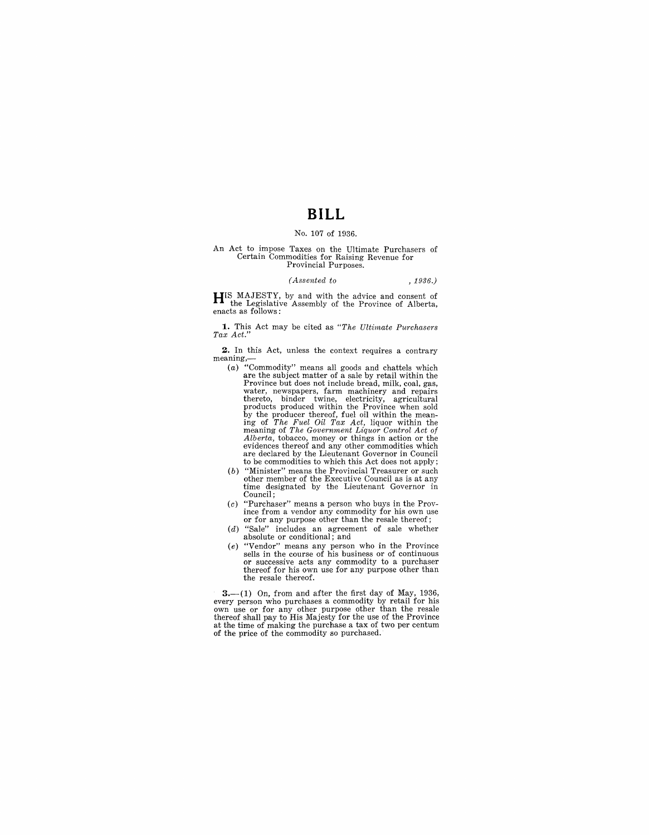# **BILL**

### No. 107 of 1936.

## An Act to impose Taxes on the Ultimate Purchasers of Certain Commodities for Raising Revenue for Provincial Purposes.

#### *(Assented to* , 1936.)

**HIS MAJESTY,** by and with the advice and consent of the Legislative Assembly of the Province of Alberta, enacts as follows:

**1.** This Act may be cited as *"The Ultimate Purchasers Tax Act."* 

**2.** In this Act, unless the context requires a contrary meaning,—<br>(a) "Commodity" means all goods and chattels which

- are the subject matter of a sale by retail within the Province but does not include bread, milk, coal, gas, water, newspapers, farm machinery and repairs<br>thereto, binder twine, electricity, agricultural<br>products produced within the Province when sold<br>by the producer thereof, fuel oil within the mean-<br>ing of *The Fuel Oil Tax Ac* meaning of *The Government Liquor Control Act of Alberta,* tobacco, money or things in action or the are declared by the Lieutenant Governor in Council to be commodities to which this Act does not apply;
- (b) "Minister" means the Provincial Treasurer or such other member of the Executive Council as is at any time designated by the Lieutenant Governor in Council;
- $(c)$  "Purchaser" means a person who buys in the Prov-<br>ince from a vendor any commodity for his own use or for any purpose other than the resale thereof;
- (d) "Sale" includes an agreement of sale whether absolute or conditional; and
- (e) "Vendor" means any person who in the Province<br>sells in the course of his business or of continuous sells in the course of his business or of continuous or successive acts any commodity to a purchaser thereof for his own use for any purpose other than the resale thereof.

 $3-$ (1) On, from and after the first day of May, 1936, every person who purchases a commodity by retail for his<br>own use or for any other purpose other than the resale<br>thereof shall pay to His Majesty for the use of the Province<br>at the time of making the purchase a tax of two p of the price of the commodity so purchased.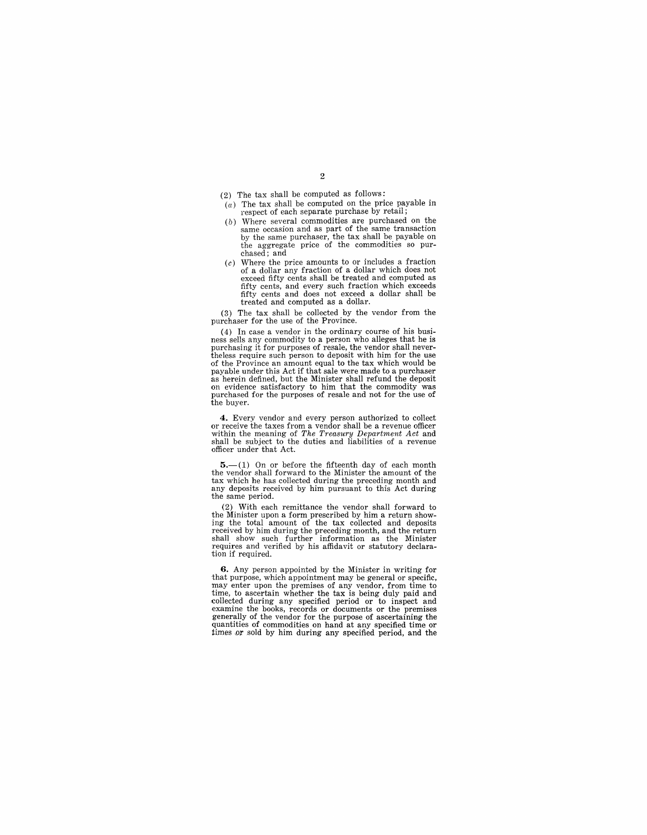- (2) The tax shall be computed as follows:
- $(a)$  The tax shall be computed on the price payable in respect of each separate purchase by retail;
- (b) Where several commodities are purchased on the same occasion and as part of the same transaction by the same purchaser, the tax shall be payable on the aggregate price of the commodities so purchased; and
- (c) Where the price amounts to or includes a fraction of a dollar any fraction of a dollar which does not exceed fifty cents shall be treated and computed as fifty cents, and every such fraction which exceeds fifty cents and does not exceed a dollar shall be treated and computed as a dollar.

(3) The tax shall be collected by the vendor from the purchaser for the use of the Province.

(4) In case a vendor in the ordinary course of his busi-<br>ness sells any commodity to a person who alleges that he is<br>purchasing it for purposes of resale, the vendor shall neverthe purpose of the purposes of the vendor shall never- the vendor of the Province an amount equal to the tax which would be payable under this Act if that sale were made to a purchaser as herein defined, but the Minister shall refund the deposit<br>on evidence satisfactory to him that the commodity was<br>purchased for the purposes of resale and not for the use of the buyer.

**4.** Every vendor and every person authorized to collect or receive the taxes from a vendor shall be a revenue officer within the meaning of *The Treasury Department Act* and shall be subject to the duties and liabilities of a revenue officer under that Act.

 $5.-(1)$  On or before the fifteenth day of each month the vendor shall forward to the Minister the amount of the tax which he has collected during the preceding month and any deposits received by him pursuant to this Act during the same period.

(2) With each remittance the vendor shall forward to the Minister upon a form prescribed by him a return show-ing the total amount of the tax collected and deposits received by him during the preceding month, and the return shall show such further information as the Minister requires and verified by his affidavit or statutory declaration if required.

**6.** Any person appointed by the Minister in writing for that purpose, which appointment may be general or specific, may enter upon the premises of any vendor, from time to<br>time, to ascertain whether the tax is being duly paid and<br>collected during any specified period or to inspect and<br>examine the books, records or documents or the premi generally of the vendor for the purpose of ascertaining the quantities of commodities on hand at any specified time or times or sold by him during any specified period, and the

#### 2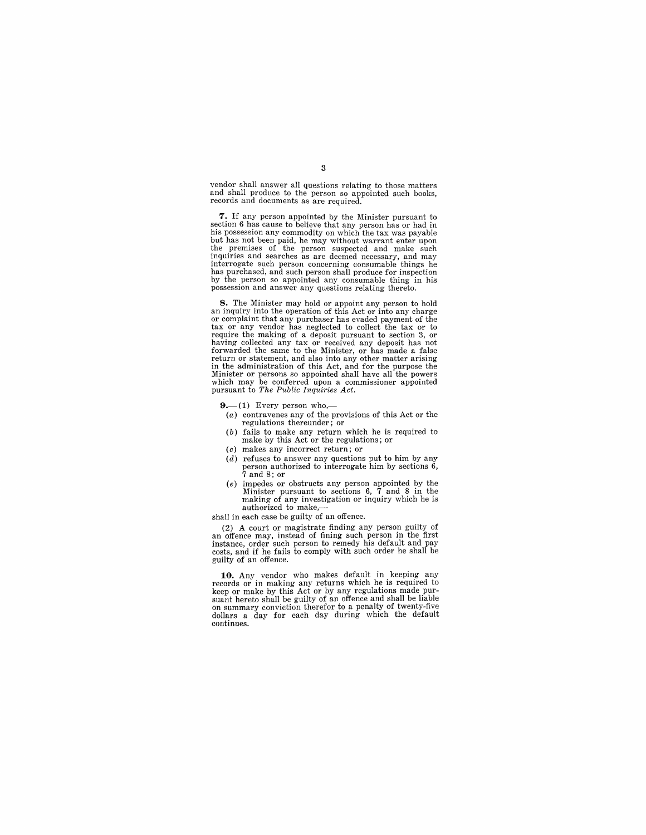vendor shall answer all questions relating to those matters and shall produce to the person so appointed such books, records and documents as are required.

**7.** If any person appointed by the Minister pursuant to section 6 has cause to believe that any person has or had in his possession any commodity on which the tax was payable but has not been paid, he may without warrant enter upon the premises of the person suspected and make such inquiries and searches as are deemed necessary, and may interrogate such person concerning consumable things he has purchased, and such person shall produce for inspection by the person so appointed any consumable thing in his possession and answer any questions relating thereto.

**8.** The Minister may hold or appoint any person to hold an inquiry into the operation of this Act or into any charge or complaint that any purchaser has evaded payment of the tax or any vendor has neglected to collect the tax or to require the making of a deposit pursuant to section 3, or having collected any tax or received any deposit has not forwarded the same to the Minister, or has made a false return or statement, and also into any other matter arising in the administration of this Act, and for the purpose the Minister or persons so appointed shall have all the powers which may be conferred upon a commissioner appointed pursuant to *The Public Inquiries Act.* 

 $9-(1)$  Every person who,-

- (a) contravenes any of the provisions of this Act or the regulations thereunder; or
- (b) fails to make any return which he is required to make by this Act or the regulations; or
- (c) makes any incorrect return; or
- (d) refuses to answer any questions put to him by any person authorized to interrogate him by sections 6, 7 and 8; or
- (e) impedes or obstructs any person appointed by the Minister pursuant to sections 6, 7 and 8 in the making of any investigation or inquiry which he is authorized to make,-
- shall in each case be guilty of an offence.

(2) A court or magistrate finding any person guilty of an offence may, instead of fining such person in the first instance, order such person to remedy his default and pay costs, and if he fails to comply with such order he shall be guilty of an offence.

**10.** Any vendor who makes default in keeping any records or in making any returns which he is required to keep or make by this Act or by any regulations made pursuant hereto shall be guilty of an offence and shall be liable on summary conviction therefor to a penalty of twenty-five dollars a day for each day during which the default continues.

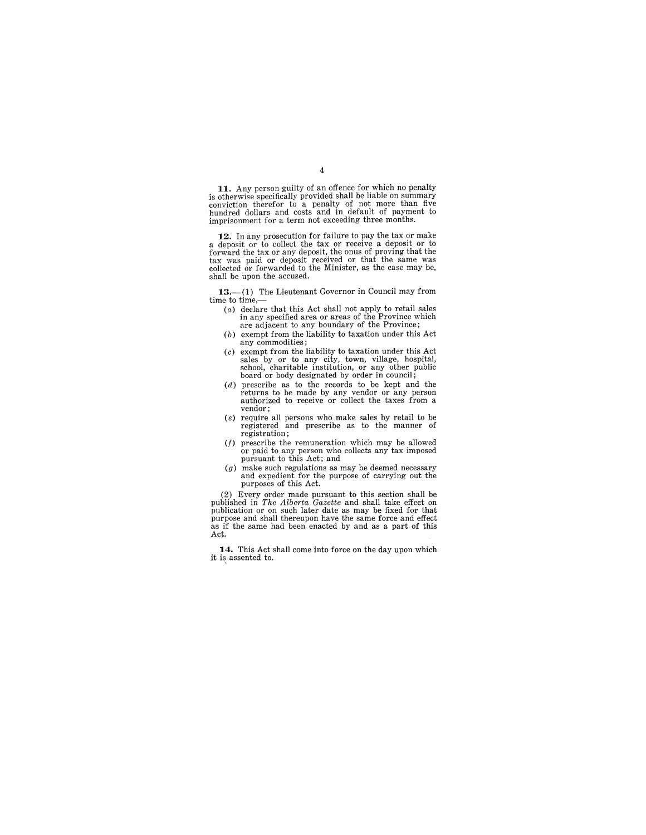**11.** Any person guilty of an offence for which no penalty is otherwise specifically provided shall be liable on summary conviction therefor to a penalty of not more than five hundred dollars and costs and in default of payment to imprisonment for a term not exceeding three months.

12. In any prosecution for failure to pay the tax or make<br>a deposit or to collect the tax or receive a deposit or to<br>forward the tax or any deposit, the onus of proving that the<br>tax was paid or deposit received or that the shall be upon the accused.

13.-(1) The Lieutenant Governor in Council may from time to time,-

- (a) declare that this Act shall not apply to retail sales in any specified area or areas of the Province which are adjacent to any boundary of the Province;
- (b) exempt from the liability to taxation under this Act any commodities;
- $(c)$  exempt from the liability to taxation under this Act sales by or to any city, town, village, hospital, school, charitable institution, or any other public board or body designated by order in council;
- $(d)$  prescribe as to the records to be kept and the returns to be made by any vendor or any person authorized to receive or collect the taxes from a vendor;
- (e) require all persons who make sales by retail to be registered and prescribe as to the manner of
- registration;<br> $(f)$  prescribe the remuneration which may be allowed or paid to any person who collects any tax imposed pursuant to this Act; and
- $(g)$  make such regulations as may be deemed necessary and expedient for the purpose of carrying out the purposes of this Act.

(2) Every order made pursuant to this section shall be published in *The Alberta Gazette* and shall take effect on publication or on such later date as may be fixed for that purpose and shall thereupon have the same force and effect as if the same had been enacted by and as a part of this Act.

**14.** This Act shall come into force on the day upon which it is assented to.

#### 4